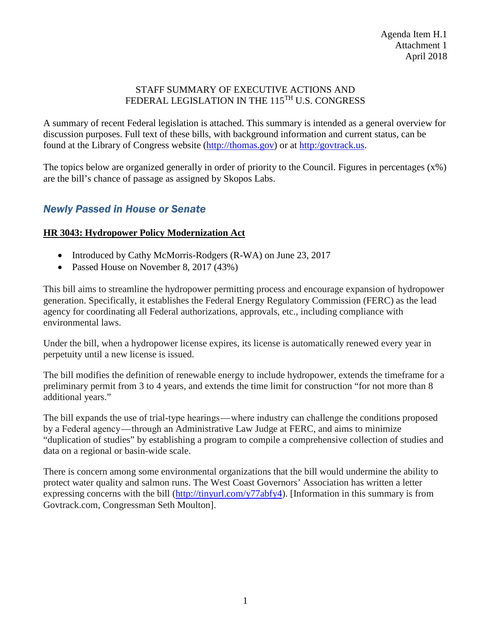#### STAFF SUMMARY OF EXECUTIVE ACTIONS AND FEDERAL LEGISLATION IN THE 115<sup>TH</sup> U.S. CONGRESS

A summary of recent Federal legislation is attached. This summary is intended as a general overview for discussion purposes. Full text of these bills, with background information and current status, can be found at the Library of Congress website [\(http://thomas.gov\)](http://thomas.gov/) or at [http:/govtrack.us.](http://govtrack.us/)

The topics below are organized generally in order of priority to the Council. Figures in percentages (x%) are the bill's chance of passage as assigned by Skopos Labs.

# *Newly Passed in House or Senate*

#### **HR 3043: Hydropower Policy Modernization Act**

- Introduced by Cathy McMorris-Rodgers (R-WA) on June 23, 2017
- Passed House on November 8, 2017 (43%)

This bill aims to streamline the hydropower permitting process and encourage expansion of hydropower generation. Specifically, it establishes the Federal Energy Regulatory Commission (FERC) as the lead agency for coordinating all Federal authorizations, approvals, etc., including compliance with environmental laws.

Under the bill, when a hydropower license expires, its license is automatically renewed every year in perpetuity until a new license is issued.

The bill modifies the definition of renewable energy to include hydropower, extends the timeframe for a preliminary permit from 3 to 4 years, and extends the time limit for construction "for not more than 8 additional years."

The bill expands the use of trial-type hearings — where industry can challenge the conditions proposed by a Federal agency — through an Administrative Law Judge at FERC, and aims to minimize "duplication of studies" by establishing a program to compile a comprehensive collection of studies and data on a regional or basin-wide scale.

There is concern among some environmental organizations that the bill would undermine the ability to protect water quality and salmon runs. The West Coast Governors' Association has written a letter expressing concerns with the bill [\(http://tinyurl.com/y77abfy4\)](http://tinyurl.com/y77abfy4). [Information in this summary is from Govtrack.com, Congressman Seth Moulton].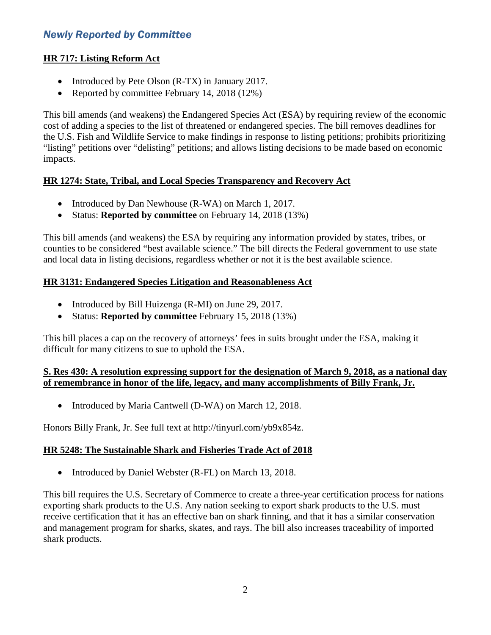# *Newly Reported by Committee*

#### **HR 717: Listing Reform Act**

- Introduced by Pete Olson (R-TX) in January 2017.
- Reported by committee February 14, 2018 (12%)

This bill amends (and weakens) the Endangered Species Act (ESA) by requiring review of the economic cost of adding a species to the list of threatened or endangered species. The bill removes deadlines for the U.S. Fish and Wildlife Service to make findings in response to listing petitions; prohibits prioritizing "listing" petitions over "delisting" petitions; and allows listing decisions to be made based on economic impacts.

## **HR 1274: State, Tribal, and Local Species Transparency and Recovery Act**

- Introduced by Dan Newhouse (R-WA) on March 1, 2017.
- Status: **Reported by committee** on February 14, 2018 (13%)

This bill amends (and weakens) the ESA by requiring any information provided by states, tribes, or counties to be considered "best available science." The bill directs the Federal government to use state and local data in listing decisions, regardless whether or not it is the best available science.

## **HR 3131: Endangered Species Litigation and Reasonableness Act**

- Introduced by Bill Huizenga (R-MI) on June 29, 2017.
- Status: **Reported by committee** February 15, 2018 (13%)

This bill places a cap on the recovery of attorneys' fees in suits brought under the ESA, making it difficult for many citizens to sue to uphold the ESA.

## **S. Res 430: A resolution expressing support for the designation of March 9, 2018, as a national day of remembrance in honor of the life, legacy, and many accomplishments of Billy Frank, Jr.**

• Introduced by Maria Cantwell (D-WA) on March 12, 2018.

Honors Billy Frank, Jr. See full text at http://tinyurl.com/yb9x854z.

#### **HR 5248: The Sustainable Shark and Fisheries Trade Act of 2018**

• Introduced by Daniel Webster (R-FL) on March 13, 2018.

This bill requires the U.S. Secretary of Commerce to create a three-year certification process for nations exporting shark products to the U.S. Any nation seeking to export shark products to the U.S. must receive certification that it has an effective ban on shark finning, and that it has a similar conservation and management program for sharks, skates, and rays. The bill also increases traceability of imported shark products.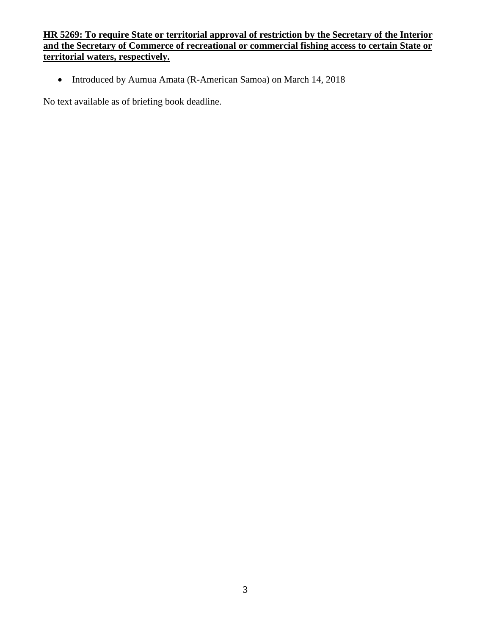## **HR 5269: To require State or territorial approval of restriction by the Secretary of the Interior and the Secretary of Commerce of recreational or commercial fishing access to certain State or territorial waters, respectively.**

• Introduced by Aumua Amata (R-American Samoa) on March 14, 2018

No text available as of briefing book deadline.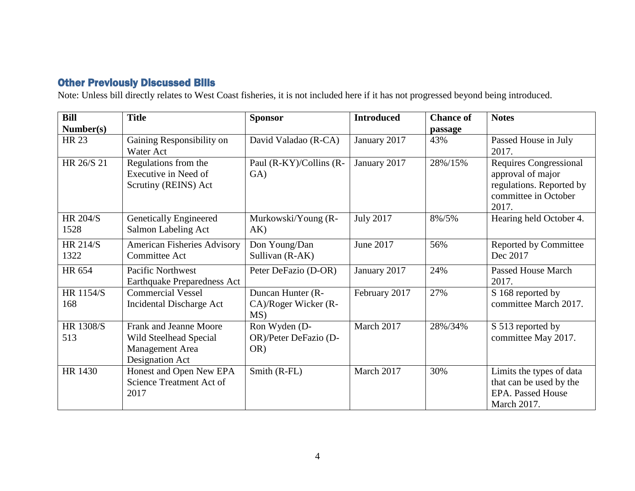# Other Previously Discussed Bills

Note: Unless bill directly relates to West Coast fisheries, it is not included here if it has not progressed beyond being introduced.

| <b>Bill</b>             | <b>Title</b>                                                                           | <b>Sponsor</b>                                   | <b>Introduced</b> | <b>Chance of</b> | <b>Notes</b>                                                                                                    |
|-------------------------|----------------------------------------------------------------------------------------|--------------------------------------------------|-------------------|------------------|-----------------------------------------------------------------------------------------------------------------|
| Number(s)               |                                                                                        |                                                  |                   | passage          |                                                                                                                 |
| <b>HR 23</b>            | Gaining Responsibility on<br><b>Water Act</b>                                          | David Valadao (R-CA)                             | January 2017      | 43%              | Passed House in July<br>2017.                                                                                   |
| HR 26/S 21              | Regulations from the<br>Executive in Need of<br>Scrutiny (REINS) Act                   | Paul (R-KY)/Collins (R-<br>GA)                   | January 2017      | 28%/15%          | <b>Requires Congressional</b><br>approval of major<br>regulations. Reported by<br>committee in October<br>2017. |
| <b>HR 204/S</b><br>1528 | <b>Genetically Engineered</b><br>Salmon Labeling Act                                   | Murkowski/Young (R-<br>AK)                       | <b>July 2017</b>  | 8%/5%            | Hearing held October 4.                                                                                         |
| <b>HR 214/S</b><br>1322 | <b>American Fisheries Advisory</b><br><b>Committee Act</b>                             | Don Young/Dan<br>Sullivan (R-AK)                 | June 2017         | 56%              | <b>Reported by Committee</b><br>Dec 2017                                                                        |
| HR 654                  | Pacific Northwest<br>Earthquake Preparedness Act                                       | Peter DeFazio (D-OR)                             | January 2017      | 24%              | <b>Passed House March</b><br>2017.                                                                              |
| HR 1154/S<br>168        | <b>Commercial Vessel</b><br>Incidental Discharge Act                                   | Duncan Hunter (R-<br>CA)/Roger Wicker (R-<br>MS) | February 2017     | 27%              | S 168 reported by<br>committee March 2017.                                                                      |
| <b>HR 1308/S</b><br>513 | Frank and Jeanne Moore<br>Wild Steelhead Special<br>Management Area<br>Designation Act | Ron Wyden (D-<br>OR)/Peter DeFazio (D-<br>OR)    | March 2017        | 28%/34%          | S 513 reported by<br>committee May 2017.                                                                        |
| HR 1430                 | Honest and Open New EPA<br>Science Treatment Act of<br>2017                            | Smith (R-FL)                                     | March 2017        | 30%              | Limits the types of data<br>that can be used by the<br><b>EPA.</b> Passed House<br>March 2017.                  |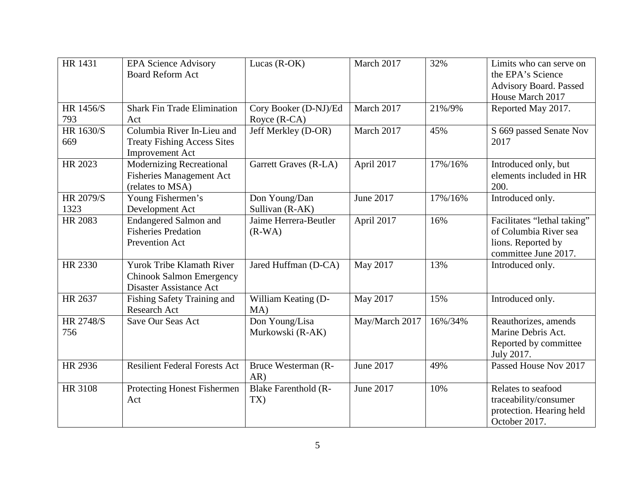| <b>HR 1431</b>    | <b>EPA Science Advisory</b><br><b>Board Reform Act</b>                                     | Lucas $(R-OK)$                        | March 2017     | 32%     | Limits who can serve on<br>the EPA's Science<br>Advisory Board. Passed<br>House March 2017         |
|-------------------|--------------------------------------------------------------------------------------------|---------------------------------------|----------------|---------|----------------------------------------------------------------------------------------------------|
| HR 1456/S<br>793  | <b>Shark Fin Trade Elimination</b><br>Act                                                  | Cory Booker (D-NJ)/Ed<br>Royce (R-CA) | March 2017     | 21%/9%  | Reported May 2017.                                                                                 |
| HR 1630/S<br>669  | Columbia River In-Lieu and<br><b>Treaty Fishing Access Sites</b><br><b>Improvement Act</b> | Jeff Merkley (D-OR)                   | March 2017     | 45%     | S 669 passed Senate Nov<br>2017                                                                    |
| HR 2023           | <b>Modernizing Recreational</b><br><b>Fisheries Management Act</b><br>(relates to MSA)     | Garrett Graves (R-LA)                 | April 2017     | 17%/16% | Introduced only, but<br>elements included in HR<br>200.                                            |
| HR 2079/S<br>1323 | Young Fishermen's<br>Development Act                                                       | Don Young/Dan<br>Sullivan (R-AK)      | June 2017      | 17%/16% | Introduced only.                                                                                   |
| HR 2083           | <b>Endangered Salmon and</b><br><b>Fisheries Predation</b><br><b>Prevention Act</b>        | Jaime Herrera-Beutler<br>$(R-WA)$     | April 2017     | 16%     | Facilitates "lethal taking"<br>of Columbia River sea<br>lions. Reported by<br>committee June 2017. |
| HR 2330           | Yurok Tribe Klamath River<br><b>Chinook Salmon Emergency</b><br>Disaster Assistance Act    | Jared Huffman (D-CA)                  | May 2017       | 13%     | Introduced only.                                                                                   |
| HR 2637           | Fishing Safety Training and<br><b>Research Act</b>                                         | William Keating (D-<br>MA)            | May 2017       | 15%     | Introduced only.                                                                                   |
| HR 2748/S<br>756  | Save Our Seas Act                                                                          | Don Young/Lisa<br>Murkowski (R-AK)    | May/March 2017 | 16%/34% | Reauthorizes, amends<br>Marine Debris Act.<br>Reported by committee<br>July 2017.                  |
| HR 2936           | <b>Resilient Federal Forests Act</b>                                                       | Bruce Westerman (R-<br>AR)            | June 2017      | 49%     | Passed House Nov 2017                                                                              |
| HR 3108           | Protecting Honest Fishermen<br>Act                                                         | <b>Blake Farenthold (R-</b><br>TX)    | June 2017      | 10%     | Relates to seafood<br>traceability/consumer<br>protection. Hearing held<br>October 2017.           |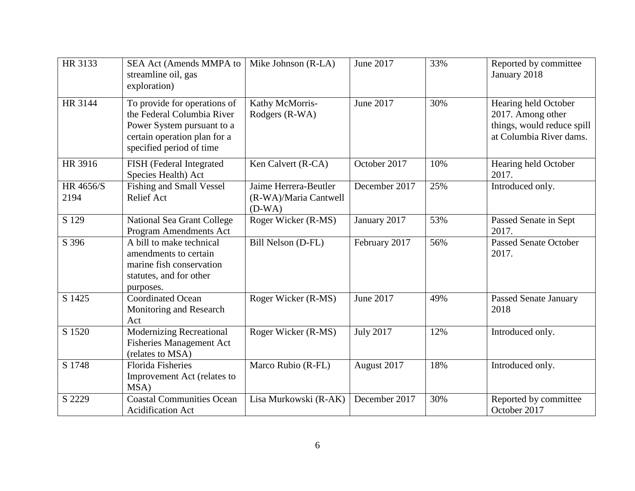| HR 3133           | SEA Act (Amends MMPA to<br>streamline oil, gas<br>exploration)                                                                                       | Mike Johnson (R-LA)                                        | June 2017        | 33% | Reported by committee<br>January 2018                                                              |
|-------------------|------------------------------------------------------------------------------------------------------------------------------------------------------|------------------------------------------------------------|------------------|-----|----------------------------------------------------------------------------------------------------|
| HR 3144           | To provide for operations of<br>the Federal Columbia River<br>Power System pursuant to a<br>certain operation plan for a<br>specified period of time | Kathy McMorris-<br>Rodgers (R-WA)                          | June 2017        | 30% | Hearing held October<br>2017. Among other<br>things, would reduce spill<br>at Columbia River dams. |
| HR 3916           | FISH (Federal Integrated<br>Species Health) Act                                                                                                      | Ken Calvert (R-CA)                                         | October 2017     | 10% | Hearing held October<br>2017.                                                                      |
| HR 4656/S<br>2194 | <b>Fishing and Small Vessel</b><br><b>Relief Act</b>                                                                                                 | Jaime Herrera-Beutler<br>(R-WA)/Maria Cantwell<br>$(D-WA)$ | December 2017    | 25% | Introduced only.                                                                                   |
| S 129             | National Sea Grant College<br>Program Amendments Act                                                                                                 | Roger Wicker (R-MS)                                        | January 2017     | 53% | Passed Senate in Sept<br>2017.                                                                     |
| S 396             | A bill to make technical<br>amendments to certain<br>marine fish conservation<br>statutes, and for other<br>purposes.                                | Bill Nelson (D-FL)                                         | February 2017    | 56% | <b>Passed Senate October</b><br>2017.                                                              |
| S 1425            | <b>Coordinated Ocean</b><br>Monitoring and Research<br>Act                                                                                           | Roger Wicker (R-MS)                                        | June 2017        | 49% | <b>Passed Senate January</b><br>2018                                                               |
| S 1520            | <b>Modernizing Recreational</b><br><b>Fisheries Management Act</b><br>(relates to MSA)                                                               | Roger Wicker (R-MS)                                        | <b>July 2017</b> | 12% | Introduced only.                                                                                   |
| S 1748            | <b>Florida Fisheries</b><br>Improvement Act (relates to<br>MSA)                                                                                      | Marco Rubio (R-FL)                                         | August 2017      | 18% | Introduced only.                                                                                   |
| S 2229            | <b>Coastal Communities Ocean</b><br><b>Acidification Act</b>                                                                                         | Lisa Murkowski (R-AK)                                      | December 2017    | 30% | Reported by committee<br>October 2017                                                              |